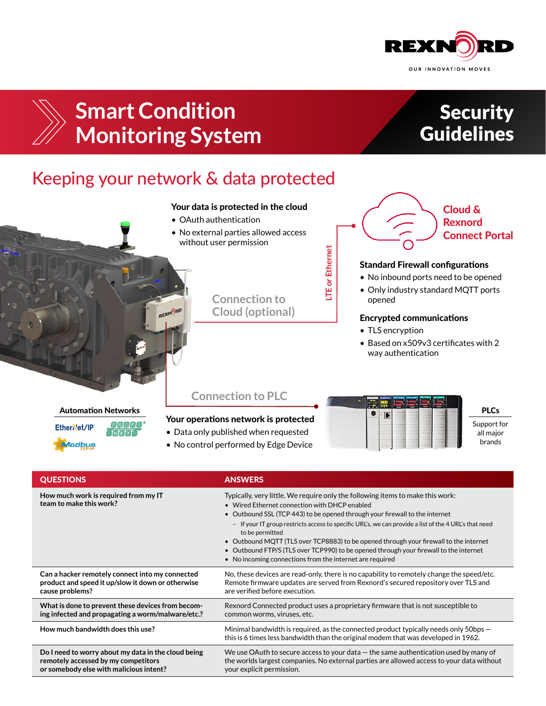



# **Smart Condition Monitoring System**

## **Security Guidelines**

## Keeping your network & data protected

### Your data is protected in the cloud

- OAuth authentication
- No external parties allowed access without user permission
	- **LTE or Ethernet LTE or Ethernet**

**Connection to Cloud (optional)**



#### Standard Firewall configurations

- No inbound ports need to be opened
- Only industry standard MQTT ports opened

#### Encrypted communications

- TLS encryption
- Based on x509v3 certificates with 2 way authentication

### Automation Networks



### **Connection to PLC**

### Your operations network is protected

- Data only published when requested
- No control performed by Edge Device



PLCs Support for

all major brands

| <b>QUESTIONS</b>                                                | <b>ANSWERS</b>                                                                                                                                                                                                                                                                                                                                                                                                                                                                                                                                                                           |
|-----------------------------------------------------------------|------------------------------------------------------------------------------------------------------------------------------------------------------------------------------------------------------------------------------------------------------------------------------------------------------------------------------------------------------------------------------------------------------------------------------------------------------------------------------------------------------------------------------------------------------------------------------------------|
| How much work is required from my IT<br>team to make this work? | Typically, very little. We require only the following items to make this work:<br>• Wired Ethernet connection with DHCP enabled<br>• Outbound SSL (TCP 443) to be opened through your firewall to the internet<br>- If your IT group restricts access to specific URL's, we can provide a list of the 4 URL's that need<br>to be permitted<br>• Outbound MQTT (TLS over TCP8883) to be opened through your firewall to the internet<br>• Outbound FTP/S (TLS over TCP990) to be opened through your firewall to the internet<br>• No incoming connections from the internet are required |
| Can a hacker remotely connect into my connected                 | No, these devices are read-only, there is no capability to remotely change the speed/etc.                                                                                                                                                                                                                                                                                                                                                                                                                                                                                                |
| product and speed it up/slow it down or otherwise               | Remote firmware updates are served from Rexnord's secured repository over TLS and                                                                                                                                                                                                                                                                                                                                                                                                                                                                                                        |
| cause problems?                                                 | are verified before execution.                                                                                                                                                                                                                                                                                                                                                                                                                                                                                                                                                           |
| What is done to prevent these devices from becom-               | Rexnord Connected product uses a proprietary firmware that is not susceptible to                                                                                                                                                                                                                                                                                                                                                                                                                                                                                                         |
| ing infected and propagating a worm/malware/etc.?               | common worms, viruses, etc.                                                                                                                                                                                                                                                                                                                                                                                                                                                                                                                                                              |
| How much bandwidth does this use?                               | Minimal bandwidth is required, as the connected product typically needs only 50bps $-$<br>this is 6 times less bandwidth than the original modem that was developed in 1962.                                                                                                                                                                                                                                                                                                                                                                                                             |
| Do I need to worry about my data in the cloud being             | We use OAuth to secure access to your data $-$ the same authentication used by many of                                                                                                                                                                                                                                                                                                                                                                                                                                                                                                   |
| remotely accessed by my competitors                             | the worlds largest companies. No external parties are allowed access to your data without                                                                                                                                                                                                                                                                                                                                                                                                                                                                                                |
| or somebody else with malicious intent?                         | your explicit permission.                                                                                                                                                                                                                                                                                                                                                                                                                                                                                                                                                                |